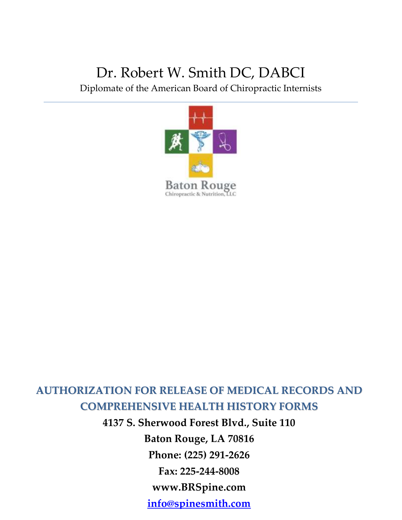# Dr. Robert W. Smith DC, DABCI

Diplomate of the American Board of Chiropractic Internists



# **AUTHORIZATION FOR RELEASE OF MEDICAL RECORDS AND COMPREHENSIVE HEALTH HISTORY FORMS**

0 **www.BRSpine.com 4137 S. Sherwood Forest Blvd., Suite 110 Baton Rouge, LA 70816 Phone: (225) 291-2626 Fax: 225-244-8008 [info@spinesmith.com](mailto:info@spinesmith.com)**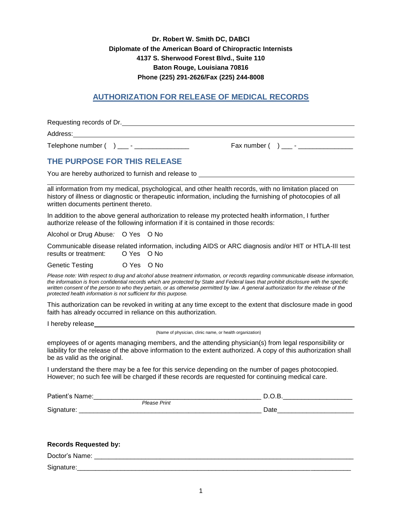### **Dr. Robert W. Smith DC, DABCI Diplomate of the American Board of Chiropractic Internists 4137 S. Sherwood Forest Blvd., Suite 110 Baton Rouge, Louisiana 70816 Phone (225) 291-2626/Fax (225) 244-8008**

# **AUTHORIZATION FOR RELEASE OF MEDICAL RECORDS**

Requesting records of Dr. Address: Telephone number ( ) \_\_\_ - \_\_\_\_\_\_\_\_\_\_\_\_\_\_\_ Fax number ( ) \_\_\_ - \_\_\_\_\_\_\_\_\_\_\_\_\_\_\_

### **THE PURPOSE FOR THIS RELEASE**

You are hereby authorized to furnish and release to

all information from my medical, psychological, and other health records, with no limitation placed on history of illness or diagnostic or therapeutic information, including the furnishing of photocopies of all written documents pertinent thereto.

In addition to the above general authorization to release my protected health information, I further authorize release of the following information if it is contained in those records:

Alcohol or Drug Abuse*:* O Yes O No

Communicable disease related information, including AIDS or ARC diagnosis and/or HIT or HTLA-III test results or treatment: O Yes O No

Genetic Testing O Yes O No

*Please note: With respect to drug and alcohol abuse treatment information, or records regarding communicable disease information, the information is from confidential records which are protected by State and Federal laws that prohibit disclosure with the specific written consent of the person to who they pertain, or as otherwise permitted by law. A general authorization for the release of the protected health information is not sufficient for this purpose.*

This authorization can be revoked in writing at any time except to the extent that disclosure made in good faith has already occurred in reliance on this authorization.

I hereby release

(Name of physician, clinic name, or health organization)

employees of or agents managing members, and the attending physician(s) from legal responsibility or liability for the release of the above information to the extent authorized. A copy of this authorization shall be as valid as the original.

I understand the there may be a fee for this service depending on the number of pages photocopied. However; no such fee will be charged if these records are requested for continuing medical care.

| Patient's<br>Name:    |              |              |  |
|-----------------------|--------------|--------------|--|
|                       | Please Print |              |  |
| Signature.<br>$\cdot$ |              | ٦ot،<br>Dale |  |

| <b>Records Requested by:</b> |  |  |  |
|------------------------------|--|--|--|
| Doctor's Name:               |  |  |  |
| Signature:                   |  |  |  |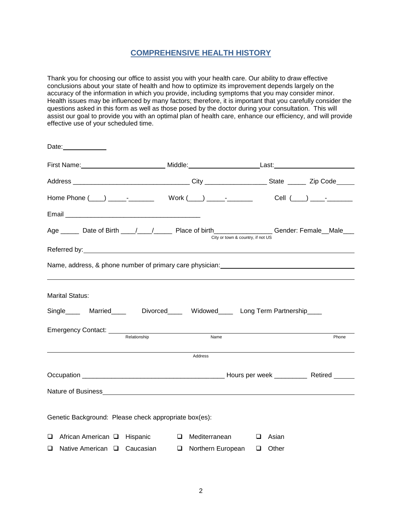### **COMPREHENSIVE HEALTH HISTORY**

Thank you for choosing our office to assist you with your health care. Our ability to draw effective conclusions about your state of health and how to optimize its improvement depends largely on the accuracy of the information in which you provide, including symptoms that you may consider minor. Health issues may be influenced by many factors; therefore, it is important that you carefully consider the questions asked in this form as well as those posed by the doctor during your consultation. This will assist our goal to provide you with an optimal plan of health care, enhance our efficiency, and will provide effective use of your scheduled time.

| Date:_____________                                    |                                                                                                 |                                   |       |
|-------------------------------------------------------|-------------------------------------------------------------------------------------------------|-----------------------------------|-------|
|                                                       |                                                                                                 |                                   |       |
|                                                       |                                                                                                 |                                   |       |
|                                                       |                                                                                                 |                                   |       |
|                                                       |                                                                                                 |                                   |       |
|                                                       | Age ______ Date of Birth ____/____/______ Place of birth________________Gender: Female__Male___ | City or town & country, if not US |       |
|                                                       |                                                                                                 |                                   |       |
|                                                       |                                                                                                 |                                   |       |
|                                                       |                                                                                                 |                                   |       |
| <b>Marital Status:</b>                                |                                                                                                 |                                   |       |
|                                                       | Single____ Married_____ Divorced____ Widowed____ Long Term Partnership____                      |                                   |       |
|                                                       |                                                                                                 |                                   |       |
| Relationship                                          | Name                                                                                            |                                   | Phone |
|                                                       | Address                                                                                         |                                   |       |
|                                                       |                                                                                                 |                                   |       |
|                                                       |                                                                                                 |                                   |       |
|                                                       |                                                                                                 |                                   |       |
| Genetic Background: Please check appropriate box(es): |                                                                                                 |                                   |       |
|                                                       | □ African American □ Hispanic □ D Mediterranean □ Asian                                         |                                   |       |
| $\Box$ Native American $\Box$ Caucasian               | □ Northern European                                                                             | $\Box$ Other                      |       |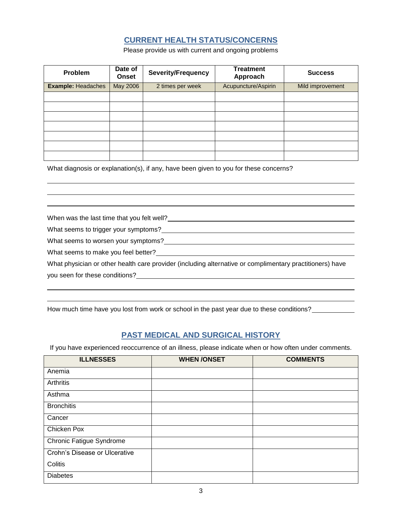# **CURRENT HEALTH STATUS/CONCERNS**

Please provide us with current and ongoing problems

| Problem                   | Date of<br>Onset | <b>Severity/Frequency</b> | <b>Treatment</b><br>Approach | <b>Success</b>   |
|---------------------------|------------------|---------------------------|------------------------------|------------------|
| <b>Example: Headaches</b> | May 2006         | 2 times per week          | Acupuncture/Aspirin          | Mild improvement |
|                           |                  |                           |                              |                  |
|                           |                  |                           |                              |                  |
|                           |                  |                           |                              |                  |
|                           |                  |                           |                              |                  |
|                           |                  |                           |                              |                  |
|                           |                  |                           |                              |                  |
|                           |                  |                           |                              |                  |

What diagnosis or explanation(s), if any, have been given to you for these concerns?

| When was the last time that you felt well?                                                               |
|----------------------------------------------------------------------------------------------------------|
| What seems to trigger your symptoms?                                                                     |
| What seems to worsen your symptoms?                                                                      |
| What seems to make you feel better?                                                                      |
| What physician or other health care provider (including alternative or complimentary practitioners) have |
| you seen for these conditions?                                                                           |
|                                                                                                          |

How much time have you lost from work or school in the past year due to these conditions?<br><u>\_\_\_\_\_\_\_\_\_\_\_\_\_</u>

# **PAST MEDICAL AND SURGICAL HISTORY**

If you have experienced reoccurrence of an illness, please indicate when or how often under comments.

| <b>ILLNESSES</b>              | <b>WHEN/ONSET</b> | <b>COMMENTS</b> |
|-------------------------------|-------------------|-----------------|
| Anemia                        |                   |                 |
| Arthritis                     |                   |                 |
| Asthma                        |                   |                 |
| <b>Bronchitis</b>             |                   |                 |
| Cancer                        |                   |                 |
| Chicken Pox                   |                   |                 |
| Chronic Fatigue Syndrome      |                   |                 |
| Crohn's Disease or Ulcerative |                   |                 |
| Colitis                       |                   |                 |
| <b>Diabetes</b>               |                   |                 |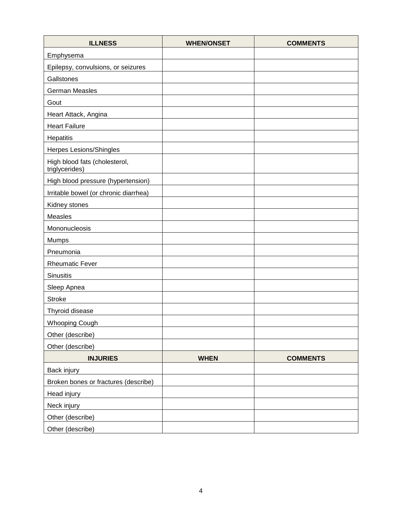| <b>ILLNESS</b>                                  | <b>WHEN/ONSET</b> | <b>COMMENTS</b> |
|-------------------------------------------------|-------------------|-----------------|
| Emphysema                                       |                   |                 |
| Epilepsy, convulsions, or seizures              |                   |                 |
| Gallstones                                      |                   |                 |
| German Measles                                  |                   |                 |
| Gout                                            |                   |                 |
| Heart Attack, Angina                            |                   |                 |
| <b>Heart Failure</b>                            |                   |                 |
| Hepatitis                                       |                   |                 |
| Herpes Lesions/Shingles                         |                   |                 |
| High blood fats (cholesterol,<br>triglycerides) |                   |                 |
| High blood pressure (hypertension)              |                   |                 |
| Irritable bowel (or chronic diarrhea)           |                   |                 |
| Kidney stones                                   |                   |                 |
| Measles                                         |                   |                 |
| Mononucleosis                                   |                   |                 |
| Mumps                                           |                   |                 |
| Pneumonia                                       |                   |                 |
| <b>Rheumatic Fever</b>                          |                   |                 |
| <b>Sinusitis</b>                                |                   |                 |
| Sleep Apnea                                     |                   |                 |
| <b>Stroke</b>                                   |                   |                 |
| Thyroid disease                                 |                   |                 |
| <b>Whooping Cough</b>                           |                   |                 |
| Other (describe)                                |                   |                 |
| Other (describe)                                |                   |                 |
| <b>INJURIES</b>                                 | <b>WHEN</b>       | <b>COMMENTS</b> |
| Back injury                                     |                   |                 |
| Broken bones or fractures (describe)            |                   |                 |
| Head injury                                     |                   |                 |
| Neck injury                                     |                   |                 |
| Other (describe)                                |                   |                 |
| Other (describe)                                |                   |                 |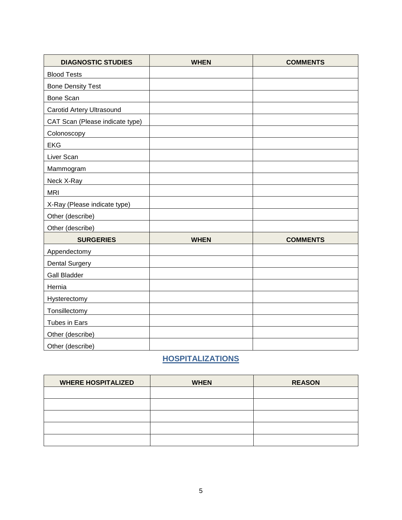| <b>DIAGNOSTIC STUDIES</b>        | <b>WHEN</b> | <b>COMMENTS</b> |
|----------------------------------|-------------|-----------------|
| <b>Blood Tests</b>               |             |                 |
| <b>Bone Density Test</b>         |             |                 |
| Bone Scan                        |             |                 |
| <b>Carotid Artery Ultrasound</b> |             |                 |
| CAT Scan (Please indicate type)  |             |                 |
| Colonoscopy                      |             |                 |
| <b>EKG</b>                       |             |                 |
| Liver Scan                       |             |                 |
| Mammogram                        |             |                 |
| Neck X-Ray                       |             |                 |
| <b>MRI</b>                       |             |                 |
| X-Ray (Please indicate type)     |             |                 |
| Other (describe)                 |             |                 |
| Other (describe)                 |             |                 |
| <b>SURGERIES</b>                 | <b>WHEN</b> | <b>COMMENTS</b> |
| Appendectomy                     |             |                 |
| <b>Dental Surgery</b>            |             |                 |
| <b>Gall Bladder</b>              |             |                 |
| Hernia                           |             |                 |
| Hysterectomy                     |             |                 |
| Tonsillectomy                    |             |                 |
| Tubes in Ears                    |             |                 |
| Other (describe)                 |             |                 |
| Other (describe)                 |             |                 |

# **HOSPITALIZATIONS**

| <b>WHERE HOSPITALIZED</b> | <b>WHEN</b> | <b>REASON</b> |
|---------------------------|-------------|---------------|
|                           |             |               |
|                           |             |               |
|                           |             |               |
|                           |             |               |
|                           |             |               |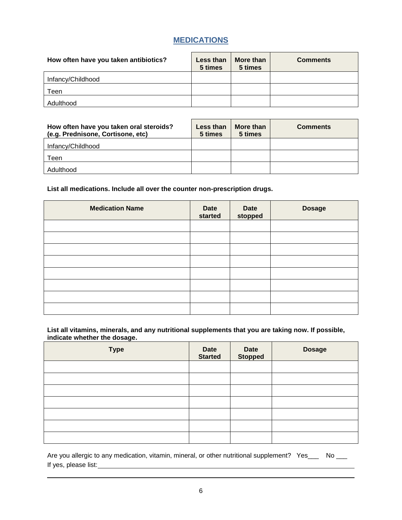# **MEDICATIONS**

| How often have you taken antibiotics? | Less than<br>5 times | More than<br>5 times | <b>Comments</b> |
|---------------------------------------|----------------------|----------------------|-----------------|
| Infancy/Childhood                     |                      |                      |                 |
| Teen                                  |                      |                      |                 |
| Adulthood                             |                      |                      |                 |

| How often have you taken oral steroids?<br>(e.g. Prednisone, Cortisone, etc) | Less than<br>5 times | More than<br>5 times | <b>Comments</b> |
|------------------------------------------------------------------------------|----------------------|----------------------|-----------------|
| Infancy/Childhood                                                            |                      |                      |                 |
| Teen                                                                         |                      |                      |                 |
| Adulthood                                                                    |                      |                      |                 |

**List all medications. Include all over the counter non-prescription drugs.**

| <b>Medication Name</b> | <b>Date</b><br>started | Date<br>stopped | <b>Dosage</b> |
|------------------------|------------------------|-----------------|---------------|
|                        |                        |                 |               |
|                        |                        |                 |               |
|                        |                        |                 |               |
|                        |                        |                 |               |
|                        |                        |                 |               |
|                        |                        |                 |               |
|                        |                        |                 |               |
|                        |                        |                 |               |

**List all vitamins, minerals, and any nutritional supplements that you are taking now. If possible, indicate whether the dosage.**

| <b>Type</b> | <b>Date</b><br><b>Started</b> | Date<br>Stopped | <b>Dosage</b> |
|-------------|-------------------------------|-----------------|---------------|
|             |                               |                 |               |
|             |                               |                 |               |
|             |                               |                 |               |
|             |                               |                 |               |
|             |                               |                 |               |
|             |                               |                 |               |
|             |                               |                 |               |

Are you allergic to any medication, vitamin, mineral, or other nutritional supplement? Yes\_\_\_ No \_\_ If yes, please list: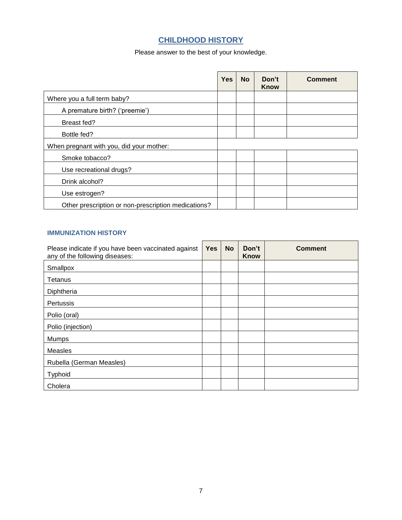# **CHILDHOOD HISTORY**

Please answer to the best of your knowledge.

|                                                     | <b>Yes</b> | <b>No</b> | Don't<br>Know | <b>Comment</b> |
|-----------------------------------------------------|------------|-----------|---------------|----------------|
| Where you a full term baby?                         |            |           |               |                |
| A premature birth? ('preemie')                      |            |           |               |                |
| Breast fed?                                         |            |           |               |                |
| Bottle fed?                                         |            |           |               |                |
| When pregnant with you, did your mother:            |            |           |               |                |
| Smoke tobacco?                                      |            |           |               |                |
| Use recreational drugs?                             |            |           |               |                |
| Drink alcohol?                                      |            |           |               |                |
| Use estrogen?                                       |            |           |               |                |
| Other prescription or non-prescription medications? |            |           |               |                |

# **IMMUNIZATION HISTORY**

| Please indicate if you have been vaccinated against<br>any of the following diseases: | <b>Yes</b> | <b>No</b> | Don't<br><b>Know</b> | <b>Comment</b> |
|---------------------------------------------------------------------------------------|------------|-----------|----------------------|----------------|
| Smallpox                                                                              |            |           |                      |                |
| Tetanus                                                                               |            |           |                      |                |
| Diphtheria                                                                            |            |           |                      |                |
| Pertussis                                                                             |            |           |                      |                |
| Polio (oral)                                                                          |            |           |                      |                |
| Polio (injection)                                                                     |            |           |                      |                |
| <b>Mumps</b>                                                                          |            |           |                      |                |
| Measles                                                                               |            |           |                      |                |
| Rubella (German Measles)                                                              |            |           |                      |                |
| Typhoid                                                                               |            |           |                      |                |
| Cholera                                                                               |            |           |                      |                |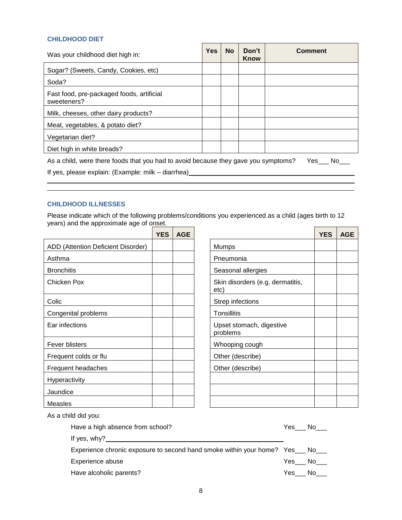#### **CHILDHOOD DIET**

| Was your childhood diet high in:                                                                 | <b>Yes</b> | <b>No</b> | Don't<br>Know | Comment |  |  |  |  |
|--------------------------------------------------------------------------------------------------|------------|-----------|---------------|---------|--|--|--|--|
| Sugar? (Sweets, Candy, Cookies, etc)                                                             |            |           |               |         |  |  |  |  |
| Soda?                                                                                            |            |           |               |         |  |  |  |  |
| Fast food, pre-packaged foods, artificial<br>sweeteners?                                         |            |           |               |         |  |  |  |  |
| Milk, cheeses, other dairy products?                                                             |            |           |               |         |  |  |  |  |
| Meat, vegetables, & potato diet?                                                                 |            |           |               |         |  |  |  |  |
| Vegetarian diet?                                                                                 |            |           |               |         |  |  |  |  |
| Diet high in white breads?                                                                       |            |           |               |         |  |  |  |  |
| As a child, were there foods that you had to avoid because they gave you symptoms?<br>Yes<br>No. |            |           |               |         |  |  |  |  |
| If yes, please explain: (Example: milk – diarrhea)                                               |            |           |               |         |  |  |  |  |
|                                                                                                  |            |           |               |         |  |  |  |  |

### **CHILDHOOD ILLNESSES**

Please indicate which of the following problems/conditions you experienced as a child (ages birth to 12 years) and the approximate age of onset. 

|                                    | <b>YES</b> | <b>AGE</b> |                                          |
|------------------------------------|------------|------------|------------------------------------------|
| ADD (Attention Deficient Disorder) |            |            | Mumps                                    |
| Asthma                             |            |            | Pneumonia                                |
| <b>Bronchitis</b>                  |            |            | Seasonal allergies                       |
| Chicken Pox                        |            |            | Skin disorders (e.g. dermatitis,<br>etc) |
| Colic                              |            |            | Strep infections                         |
| Congenital problems                |            |            | Tonsillitis                              |
| Ear infections                     |            |            | Upset stomach, digestive<br>problems     |
| Fever blisters                     |            |            | Whooping cough                           |
| Frequent colds or flu              |            |            | Other (describe)                         |
| Frequent headaches                 |            |            | Other (describe)                         |
| Hyperactivity                      |            |            |                                          |
| Jaundice                           |            |            |                                          |
| Measles                            |            |            |                                          |

| <b>YES</b> | <b>AGE</b> |                                          | <b>YES</b> | <b>AGE</b> |
|------------|------------|------------------------------------------|------------|------------|
|            |            | Mumps                                    |            |            |
|            |            | Pneumonia                                |            |            |
|            |            | Seasonal allergies                       |            |            |
|            |            | Skin disorders (e.g. dermatitis,<br>etc) |            |            |
|            |            | Strep infections                         |            |            |
|            |            | <b>Tonsillitis</b>                       |            |            |
|            |            | Upset stomach, digestive<br>problems     |            |            |
|            |            | Whooping cough                           |            |            |
|            |            | Other (describe)                         |            |            |
|            |            | Other (describe)                         |            |            |
|            |            |                                          |            |            |
|            |            |                                          |            |            |
|            |            |                                          |            |            |

As a child did you:

| Have a high absence from school?                                                | Yes a | No l            |
|---------------------------------------------------------------------------------|-------|-----------------|
| If yes, $why$ ?                                                                 |       |                 |
| Experience chronic exposure to second hand smoke within your home? Yes __ No___ |       |                 |
| Experience abuse                                                                |       | Yes No          |
| Have alcoholic parents?                                                         |       | $Yes$ No $\_\_$ |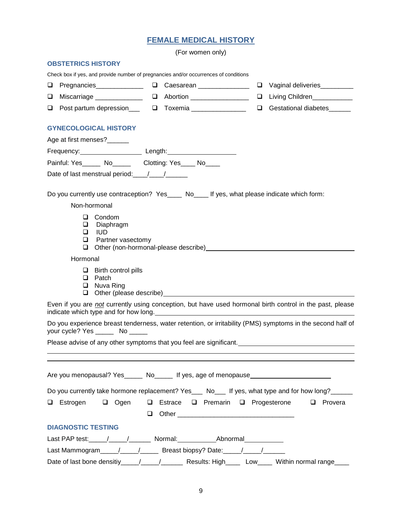# **FEMALE MEDICAL HISTORY**

| <u>FEMALE MEDIUAL FIJI UK I</u>                                                                                                                                                                                           |
|---------------------------------------------------------------------------------------------------------------------------------------------------------------------------------------------------------------------------|
| (For women only)                                                                                                                                                                                                          |
| <b>OBSTETRICS HISTORY</b>                                                                                                                                                                                                 |
| Check box if yes, and provide number of pregnancies and/or occurrences of conditions                                                                                                                                      |
| $\Box$<br>Vaginal deliveries                                                                                                                                                                                              |
| $\Box$<br>Living Children [1975]<br>u.                                                                                                                                                                                    |
| Gestational diabetes______<br>$\Box$                                                                                                                                                                                      |
| <b>GYNECOLOGICAL HISTORY</b>                                                                                                                                                                                              |
| Age at first menses?______                                                                                                                                                                                                |
|                                                                                                                                                                                                                           |
| Painful: Yes______ No_______ Clotting: Yes____ No____                                                                                                                                                                     |
| Date of last menstrual period: \[\starsqrtdge\] \]                                                                                                                                                                        |
| Do you currently use contraception? Yes_____ No____ If yes, what please indicate which form:<br>Non-hormonal                                                                                                              |
| $\Box$ Condom<br>Diaphragm<br>u<br>$\Box$<br>IUD<br>❏<br>Partner vasectomy<br>u.                                                                                                                                          |
| Hormonal                                                                                                                                                                                                                  |
| $\Box$ Birth control pills<br>Patch<br>$\Box$<br>Nuva Ring<br>$\Box$<br>□                                                                                                                                                 |
| Even if you are not currently using conception, but have used hormonal birth control in the past, please<br>indicate which type and for how long. Manual Community of the state of the state of the state of the state of |
| Do you experience breast tenderness, water retention, or irritability (PMS) symptoms in the second half of<br>your cycle? Yes _____<br>No.                                                                                |
| Please advise of any other symptoms that you feel are significant.                                                                                                                                                        |
| <u> 1989 - Andrea Andrew Maria (h. 1989).</u>                                                                                                                                                                             |
| Are you menopausal? Yes______ No_____ If yes, age of menopause__________________                                                                                                                                          |
| Do you currently take hormone replacement? Yes___ No___ If yes, what type and for how long?_____                                                                                                                          |
| $\Box$ Estrogen<br>□ Ogen<br>$\Box$ Estrace $\Box$ Premarin $\Box$ Progesterone<br>$\Box$ Provera<br>$\Box$                                                                                                               |
| <b>DIAGNOSTIC TESTING</b>                                                                                                                                                                                                 |
|                                                                                                                                                                                                                           |
|                                                                                                                                                                                                                           |

Last Mammogram\_\_\_\_\_\_/\_\_\_\_\_\_/\_\_\_\_\_\_\_\_ Breast biopsy? Date:\_\_\_\_\_\_/\_\_\_\_\_\_/\_\_\_\_\_\_\_\_\_

Date of last bone densitiy\_\_\_\_\_/\_\_\_\_\_/\_\_\_\_\_\_ Results: High\_\_\_\_ Low\_\_\_\_ Within normal range\_\_\_\_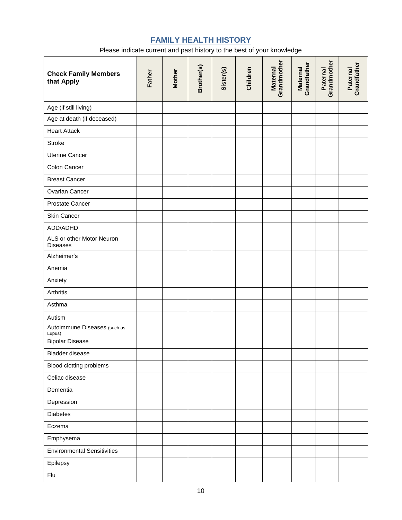# **FAMILY HEALTH HISTORY**

Please indicate current and past history to the best of your knowledge

| <b>Check Family Members</b><br>that Apply    | Father | <b>Mother</b> | Brother(s) | Sister(s) | Children | Grandmother<br><b>Maternal</b> | Grandfather<br><b>Maternal</b> | Grandmother<br>Paternal | Grandfather<br>Paternal |
|----------------------------------------------|--------|---------------|------------|-----------|----------|--------------------------------|--------------------------------|-------------------------|-------------------------|
| Age (if still living)                        |        |               |            |           |          |                                |                                |                         |                         |
| Age at death (if deceased)                   |        |               |            |           |          |                                |                                |                         |                         |
| <b>Heart Attack</b>                          |        |               |            |           |          |                                |                                |                         |                         |
| <b>Stroke</b>                                |        |               |            |           |          |                                |                                |                         |                         |
| <b>Uterine Cancer</b>                        |        |               |            |           |          |                                |                                |                         |                         |
| Colon Cancer                                 |        |               |            |           |          |                                |                                |                         |                         |
| <b>Breast Cancer</b>                         |        |               |            |           |          |                                |                                |                         |                         |
| Ovarian Cancer                               |        |               |            |           |          |                                |                                |                         |                         |
| Prostate Cancer                              |        |               |            |           |          |                                |                                |                         |                         |
| Skin Cancer                                  |        |               |            |           |          |                                |                                |                         |                         |
| ADD/ADHD                                     |        |               |            |           |          |                                |                                |                         |                         |
| ALS or other Motor Neuron<br><b>Diseases</b> |        |               |            |           |          |                                |                                |                         |                         |
| Alzheimer's                                  |        |               |            |           |          |                                |                                |                         |                         |
| Anemia                                       |        |               |            |           |          |                                |                                |                         |                         |
| Anxiety                                      |        |               |            |           |          |                                |                                |                         |                         |
| Arthritis                                    |        |               |            |           |          |                                |                                |                         |                         |
| Asthma                                       |        |               |            |           |          |                                |                                |                         |                         |
| Autism                                       |        |               |            |           |          |                                |                                |                         |                         |
| Autoimmune Diseases (such as<br>Lupus)       |        |               |            |           |          |                                |                                |                         |                         |
| <b>Bipolar Disease</b>                       |        |               |            |           |          |                                |                                |                         |                         |
| Bladder disease                              |        |               |            |           |          |                                |                                |                         |                         |
| Blood clotting problems                      |        |               |            |           |          |                                |                                |                         |                         |
| Celiac disease                               |        |               |            |           |          |                                |                                |                         |                         |
| Dementia                                     |        |               |            |           |          |                                |                                |                         |                         |
| Depression                                   |        |               |            |           |          |                                |                                |                         |                         |
| <b>Diabetes</b>                              |        |               |            |           |          |                                |                                |                         |                         |
| Eczema                                       |        |               |            |           |          |                                |                                |                         |                         |
| Emphysema                                    |        |               |            |           |          |                                |                                |                         |                         |
| <b>Environmental Sensitivities</b>           |        |               |            |           |          |                                |                                |                         |                         |
| Epilepsy                                     |        |               |            |           |          |                                |                                |                         |                         |
| Flu                                          |        |               |            |           |          |                                |                                |                         |                         |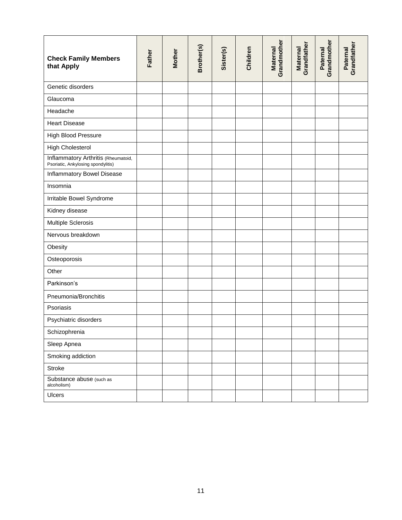| <b>Check Family Members</b><br>that Apply                                 | Father | <b>Mother</b> | Brother(s) | Sister(s) | Children | Grandmother<br><b>Maternal</b> | Grandfather<br><b>Maternal</b> | Grandmother<br>Paternal | Grandfather<br>Paternal |
|---------------------------------------------------------------------------|--------|---------------|------------|-----------|----------|--------------------------------|--------------------------------|-------------------------|-------------------------|
| Genetic disorders                                                         |        |               |            |           |          |                                |                                |                         |                         |
| Glaucoma                                                                  |        |               |            |           |          |                                |                                |                         |                         |
| Headache                                                                  |        |               |            |           |          |                                |                                |                         |                         |
| <b>Heart Disease</b>                                                      |        |               |            |           |          |                                |                                |                         |                         |
| High Blood Pressure                                                       |        |               |            |           |          |                                |                                |                         |                         |
| <b>High Cholesterol</b>                                                   |        |               |            |           |          |                                |                                |                         |                         |
| Inflammatory Arthritis (Rheumatoid,<br>Psoriatic, Ankylosing spondylitis) |        |               |            |           |          |                                |                                |                         |                         |
| Inflammatory Bowel Disease                                                |        |               |            |           |          |                                |                                |                         |                         |
| Insomnia                                                                  |        |               |            |           |          |                                |                                |                         |                         |
| Irritable Bowel Syndrome                                                  |        |               |            |           |          |                                |                                |                         |                         |
| Kidney disease                                                            |        |               |            |           |          |                                |                                |                         |                         |
| Multiple Sclerosis                                                        |        |               |            |           |          |                                |                                |                         |                         |
| Nervous breakdown                                                         |        |               |            |           |          |                                |                                |                         |                         |
| Obesity                                                                   |        |               |            |           |          |                                |                                |                         |                         |
| Osteoporosis                                                              |        |               |            |           |          |                                |                                |                         |                         |
| Other                                                                     |        |               |            |           |          |                                |                                |                         |                         |
| Parkinson's                                                               |        |               |            |           |          |                                |                                |                         |                         |
| Pneumonia/Bronchitis                                                      |        |               |            |           |          |                                |                                |                         |                         |
| Psoriasis                                                                 |        |               |            |           |          |                                |                                |                         |                         |
| Psychiatric disorders                                                     |        |               |            |           |          |                                |                                |                         |                         |
| Schizophrenia                                                             |        |               |            |           |          |                                |                                |                         |                         |
| Sleep Apnea                                                               |        |               |            |           |          |                                |                                |                         |                         |
| Smoking addiction                                                         |        |               |            |           |          |                                |                                |                         |                         |
| Stroke                                                                    |        |               |            |           |          |                                |                                |                         |                         |
| Substance abuse (such as<br>alcoholism)                                   |        |               |            |           |          |                                |                                |                         |                         |
| Ulcers                                                                    |        |               |            |           |          |                                |                                |                         |                         |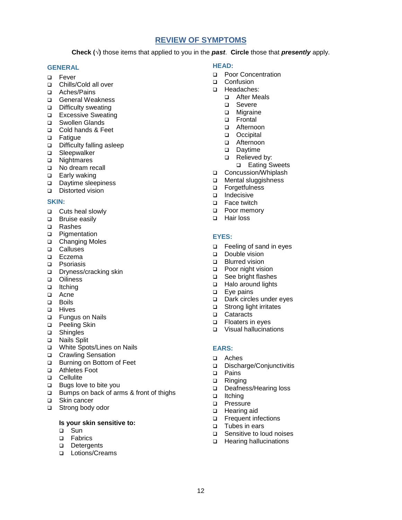### **REVIEW OF SYMPTOMS**

**Check (√)** those items that applied to you in the *past*. **Circle** those that *presently* apply.

#### **GENERAL**

- D Fever
- □ Chills/Cold all over
- Aches/Pains
- □ General Weakness
- □ Difficulty sweating
- **Excessive Sweating**
- □ Swollen Glands
- □ Cold hands & Feet
- □ Fatigue
- Difficulty falling asleep
- □ Sleepwalker
- □ Nightmares
- □ No dream recall
- □ Early waking
- Daytime sleepiness
- Distorted vision

#### **SKIN:**

- □ Cuts heal slowly
- D Bruise easily
- □ Rashes
- **D** Pigmentation
- □ Changing Moles
- **Q** Calluses
- D Eczema
- **D** Psoriasis
- □ Dryness/cracking skin
- **D** Oiliness
- ltching
- a Acne
- Boils
- D Hives
- □ Fungus on Nails
- □ Peeling Skin
- □ Shingles
- □ Nails Split
- White Spots/Lines on Nails
- □ Crawling Sensation
- □ Burning on Bottom of Feet
- □ Athletes Foot
- D Cellulite
- **Bugs love to bite you**
- □ Bumps on back of arms & front of thighs
- □ Skin cancer
- □ Strong body odor

#### **Is your skin sensitive to:**

- □ Sun
- **D** Fabrics
- Detergents
- **Lotions/Creams**

#### **HEAD:**

- □ Poor Concentration
- □ Confusion
- D Headaches:
	- □ After Meals
	- Severe
	- **D** Migraine
	- □ Frontal
	- □ Afternoon
	- D Occipital
	- □ Afternoon
	- Daytime
	- Relieved by:
		- □ Eating Sweets
- □ Concussion/Whiplash
- **D** Mental sluggishness
- □ Forgetfulness
- $\Box$  Indecisive
- □ Face twitch
- **D** Poor memory
- □ Hair loss

#### **EYES:**

- □ Feeling of sand in eyes
- Double vision
- **D** Blurred vision
- **Poor night vision**
- □ See bright flashes
- □ Halo around lights
- **Eye pains**
- Dark circles under eyes
- □ Strong light irritates
- □ Cataracts<br>□ Floaters in
- Floaters in eyes
- □ Visual hallucinations

#### **EARS:**

- Aches
- Discharge/Conjunctivitis
- D Pains
- □ Ringing
- Deafness/Hearing loss
- ltching
- **D** Pressure
- □ Hearing aid
- **D** Frequent infections
- □ Tubes in ears
- □ Sensitive to loud noises
- □ Hearing hallucinations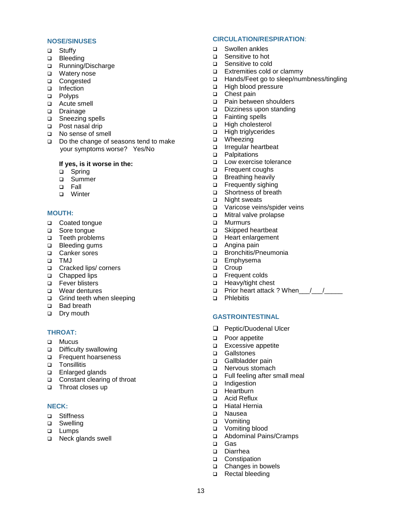#### **NOSE/SINUSES**

- □ Stuffy
- **D** Bleeding
- Running/Discharge
- □ Watery nose
- □ Congested
- □ Infection
- □ Polyps
- Acute smell
- Drainage
- □ Sneezing spells
- □ Post nasal drip
- No sense of smell
- Do the change of seasons tend to make your symptoms worse? Yes/No

#### **If yes, is it worse in the:**

- □ Spring
- □ Summer
- Fall
- **D** Winter

#### **MOUTH:**

- □ Coated tongue
- □ Sore tonque
- □ Teeth problems
- □ Bleeding gums
- □ Canker sores
- TMJ
- □ Cracked lips/ corners
- □ Chapped lips
- □ Fever blisters
- **D** Wear dentures
- Grind teeth when sleeping
- □ Bad breath
- Dry mouth

### **THROAT:**

- D Mucus
- □ Difficulty swallowing
- **D** Frequent hoarseness
- **D** Tonsillitis
- □ Enlarged glands
- □ Constant clearing of throat
- □ Throat closes up

#### **NECK:**

- □ Stiffness
- □ Swelling
- **Q** Lumps
- □ Neck glands swell

#### **CIRCULATION/RESPIRATION**:

- □ Swollen ankles
- □ Sensitive to hot
- □ Sensitive to cold
- Extremities cold or clammy
- □ Hands/Feet go to sleep/numbness/tingling
- □ High blood pressure
- □ Chest pain<br>□ Pain betwe
- Pain between shoulders
- Dizziness upon standing
- □ Fainting spells
- High cholesterol
- High triglycerides
- □ Wheezing
- Irregular heartbeat
- **D** Palpitations
- **Low exercise tolerance**
- □ Frequent coughs
- **Breathing heavily**
- **D** Frequently sighing
- Shortness of breath
- □ Night sweats
- Varicose veins/spider veins
- **D** Mitral valve prolapse
- D Murmurs
- □ Skipped heartbeat
- Heart enlargement
- □ Angina pain
- □ Bronchitis/Pneumonia
- □ Emphysema
- □ Croup
- **D** Frequent colds
- □ Heavy/tight chest
- $\Box$  Prior heart attack ? When  $\Box$
- D Phlebitis

#### **GASTROINTESTINAL**

- **Q** Peptic/Duodenal Ulcer
- **D** Poor appetite
- Excessive appetite
- □ Gallstones
- Gallbladder pain
- □ Nervous stomach
- □ Full feeling after small meal
- Indigestion
- □ Heartburn
- □ Acid Reflux
- Hiatal Hernia
- Nausea
- □ Vomiting
- Vomiting blood
- Abdominal Pains/Cramps
- Gas

13

- Diarrhea
- □ Constipation □ Changes in bowels

□ Rectal bleeding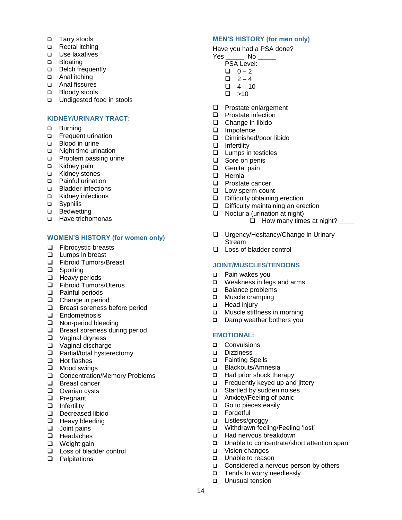- □ Tarry stools
- □ Rectal itching
- **D** Use laxatives
- **D** Bloating
- □ Belch frequently
- □ Anal itching
- Anal fissures
- Bloody stools
- □ Undigested food in stools

#### **KIDNEY/URINARY TRACT:**

- □ Burning
- **D** Frequent urination
- □ Blood in urine
- □ Night time urination
- **D** Problem passing urine
- □ Kidney pain
- □ Kidney stones
- □ Painful urination
- **Bladder infections**
- □ Kidney infections
- □ Syphilis
- □ Bedwetting
- □ Have trichomonas

#### **WOMEN'S HISTORY (for women only)**

- $\Box$  Fibrocystic breasts
- **Lumps in breast**
- Fibroid Tumors/Breast
- □ Spotting
- $\Box$  Heavy periods
- □ Fibroid Tumors/Uterus
- **Q** Painful periods
- $\Box$  Change in period
- **Breast soreness before period**
- **Q** Endometriosis
- □ Non-period bleeding
- □ Breast soreness during period
- □ Vaginal dryness
- Vaginal discharge
- □ Partial/total hysterectomy
- $\Box$  Hot flashes
- **Q** Mood swings
- □ Concentration/Memory Problems
- □ Breast cancer
- **Q** Ovarian cysts
- **D** Pregnant
- $\Box$  Infertility
- Decreased libido
- $\Box$  Heavy bleeding
- $\Box$  Joint pains
- **u** Headaches
- $\Box$  Weight gain
- □ Loss of bladder control
- **Q** Palpitations

#### **MEN'S HISTORY (for men only)**

Have you had a PSA done?

- Yes \_\_\_\_\_\_\_ No \_
	- PSA Level:
	- $\Box$  0 2  $\Box$  2 – 4
	- $-4 10$
	- $\square$  >10
- **Q** Prostate enlargement
- **Q** Prostate infection
- $\Box$  Change in libido
- Impotence
- Diminished/poor libido
- $\Box$  Infertility
- $\Box$  Lumps in testicles
- □ Sore on penis
- □ Genital pain
- $\Box$  Hernia
- **D** Prostate cancer
- **Low sperm count**
- Difficulty obtaining erection
- $\Box$  Difficulty maintaining an erection
- $\Box$  Nocturia (urination at night)
	- $\Box$  How many times at night?
- □ Urgency/Hesitancy/Change in Urinary Stream
- □ Loss of bladder control

#### **JOINT/MUSCLES/TENDONS**

- Pain wakes you
- **u** Weakness in legs and arms
- □ Balance problems
- **D** Muscle cramping
- □ Head injury
- **D** Muscle stiffness in morning
- Damp weather bothers you

#### **EMOTIONAL:**

- **D** Convulsions
- Dizziness
- □ Fainting Spells
- □ Blackouts/Amnesia
- □ Had prior shock therapy
- □ Frequently keyed up and jittery
- □ Startled by sudden noises
- □ Anxiety/Feeling of panic
- Go to pieces easily
- D Forgetful

14

□ Listless/groggy

□ Vision changes **Unable to reason** 

**Unusual tension** 

□ Withdrawn feeling/Feeling 'lost'

□ Considered a nervous person by others

□ Had nervous breakdown □ Unable to concentrate/short attention span

□ Tends to worry needlessly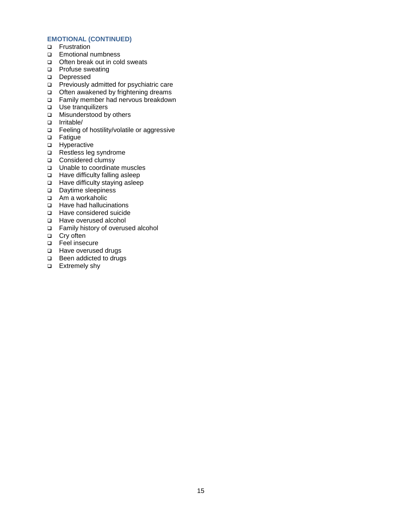#### **EMOTIONAL (CONTINUED)**

- **D** Frustration
- **Emotional numbness**
- □ Often break out in cold sweats
- **D** Profuse sweating
- Depressed
- □ Previously admitted for psychiatric care
- $\Box$  Often awakened by frightening dreams
- □ Family member had nervous breakdown
- □ Use tranquilizers
- **D** Misunderstood by others
- Irritable/
- □ Feeling of hostility/volatile or aggressive
- **D** Fatigue
- **D** Hyperactive
- $\Box$  Restless leg syndrome
- Considered clumsy
- □ Unable to coordinate muscles
- □ Have difficulty falling asleep
- □ Have difficulty staying asleep
- Daytime sleepiness
- □ Am a workaholic
- □ Have had hallucinations
- Have considered suicide
- □ Have overused alcohol
- Family history of overused alcohol
- □ Cry often
- Feel insecure
- □ Have overused drugs
- □ Been addicted to drugs
- □ Extremely shy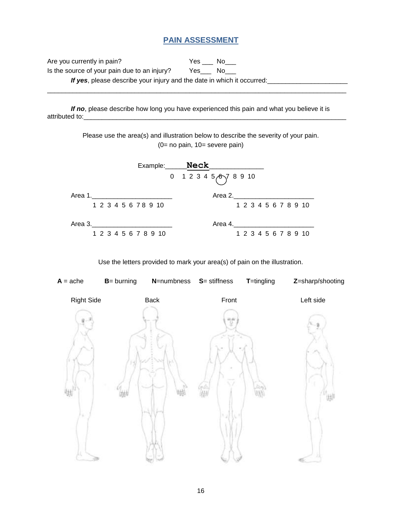# **PAIN ASSESSMENT**

Are you currently in pain? The Message Message Message No Message No. 1991 Is the source of your pain due to an injury? Yes\_\_\_ No\_\_\_ If yes, please describe your injury and the date in which it occurred:

\_\_\_\_\_\_\_\_\_\_\_\_\_\_\_\_\_\_\_\_\_\_\_\_\_\_\_\_\_\_\_\_\_\_\_\_\_\_\_\_\_\_\_\_\_\_\_\_\_\_\_\_\_\_\_\_\_\_\_\_\_\_\_\_\_\_\_\_\_\_\_\_\_\_\_\_\_\_\_\_\_\_

*If no*, please describe how long you have experienced this pain and what you believe it is attributed to:

> Please use the area(s) and illustration below to describe the severity of your pain. (0= no pain, 10= severe pain)

|         |                      |  |  |                      | Example:_______ <b>Neck_</b> |                              |  |  |                      |  |  |
|---------|----------------------|--|--|----------------------|------------------------------|------------------------------|--|--|----------------------|--|--|
|         |                      |  |  |                      |                              | 0 1 2 3 4 5 $\circ$ 7 8 9 10 |  |  |                      |  |  |
| Area 1. |                      |  |  |                      |                              | Area 2.                      |  |  |                      |  |  |
|         | 1 2 3 4 5 6 7 8 9 10 |  |  |                      |                              |                              |  |  | 1 2 3 4 5 6 7 8 9 10 |  |  |
| Area 3. |                      |  |  |                      |                              | Area 4.                      |  |  |                      |  |  |
|         |                      |  |  | 1 2 3 4 5 6 7 8 9 10 |                              |                              |  |  | 1 2 3 4 5 6 7 8 9 10 |  |  |

Use the letters provided to mark your area(s) of pain on the illustration.

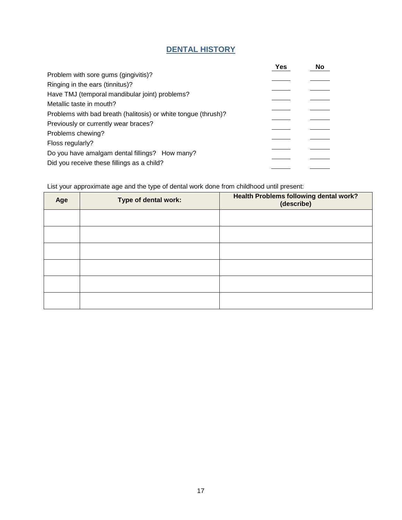# **DENTAL HISTORY**

|                                                                | Yes | No |
|----------------------------------------------------------------|-----|----|
| Problem with sore gums (gingivitis)?                           |     |    |
| Ringing in the ears (tinnitus)?                                |     |    |
| Have TMJ (temporal mandibular joint) problems?                 |     |    |
| Metallic taste in mouth?                                       |     |    |
| Problems with bad breath (halitosis) or white tongue (thrush)? |     |    |
| Previously or currently wear braces?                           |     |    |
| Problems chewing?                                              |     |    |
| Floss regularly?                                               |     |    |
| Do you have amalgam dental fillings? How many?                 |     |    |
| Did you receive these fillings as a child?                     |     |    |

List your approximate age and the type of dental work done from childhood until present:

| Age | Type of dental work: | Health Problems following dental work?<br>(describe) |
|-----|----------------------|------------------------------------------------------|
|     |                      |                                                      |
|     |                      |                                                      |
|     |                      |                                                      |
|     |                      |                                                      |
|     |                      |                                                      |
|     |                      |                                                      |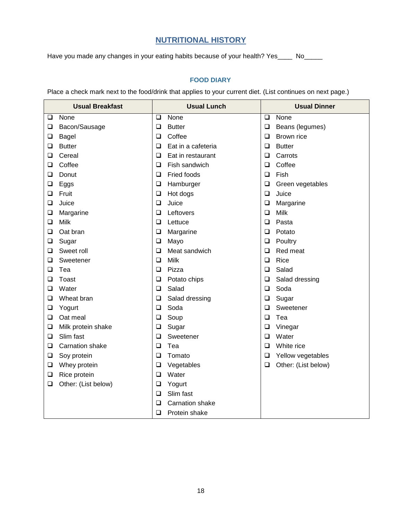# **NUTRITIONAL HISTORY**

Have you made any changes in your eating habits because of your health? Yes\_\_\_\_ No\_\_\_\_

# **FOOD DIARY**

Place a check mark next to the food/drink that applies to your current diet. (List continues on next page.)

| <b>Usual Breakfast</b> |                        | <b>Usual Lunch</b> |                        | <b>Usual Dinner</b> |                     |  |
|------------------------|------------------------|--------------------|------------------------|---------------------|---------------------|--|
| ❏                      | None                   | ❏                  | None                   | $\Box$              | None                |  |
| ❏                      | Bacon/Sausage          | $\Box$             | <b>Butter</b>          | ❏                   | Beans (legumes)     |  |
| ❏                      | <b>Bagel</b>           | $\Box$             | Coffee                 | ❏                   | Brown rice          |  |
| ❏                      | <b>Butter</b>          | $\Box$             | Eat in a cafeteria     | ❏                   | <b>Butter</b>       |  |
| ❏                      | Cereal                 | $\Box$             | Eat in restaurant      | □                   | Carrots             |  |
| ❏                      | Coffee                 | ❏                  | Fish sandwich          | ❏                   | Coffee              |  |
| ❏                      | Donut                  | $\Box$             | Fried foods            | ❏                   | Fish                |  |
| ❏                      | Eggs                   | $\Box$             | Hamburger              | ❏                   | Green vegetables    |  |
| ❏                      | Fruit                  | $\Box$             | Hot dogs               | $\Box$              | Juice               |  |
| ❏                      | Juice                  | $\Box$             | Juice                  | ❏                   | Margarine           |  |
| ❏                      | Margarine              | $\Box$             | Leftovers              | ❏                   | <b>Milk</b>         |  |
| ❏                      | Milk                   | $\Box$             | Lettuce                | □                   | Pasta               |  |
| ❏                      | Oat bran               | $\Box$             | Margarine              | ❏                   | Potato              |  |
| ❏                      | Sugar                  | $\Box$             | Mayo                   | ❏                   | Poultry             |  |
| ❏                      | Sweet roll             | ❏                  | Meat sandwich          | ❏                   | Red meat            |  |
| ❏                      | Sweetener              | $\Box$             | <b>Milk</b>            | ❏                   | Rice                |  |
| ❏                      | Tea                    | $\Box$             | Pizza                  | ❏                   | Salad               |  |
| ❏                      | Toast                  | $\Box$             | Potato chips           | $\Box$              | Salad dressing      |  |
| ❏                      | Water                  | $\Box$             | Salad                  | ❏                   | Soda                |  |
| ❏                      | Wheat bran             | $\Box$             | Salad dressing         | ❏                   | Sugar               |  |
| ❏                      | Yogurt                 | $\Box$             | Soda                   | $\Box$              | Sweetener           |  |
| ❏                      | Oat meal               | $\Box$             | Soup                   | ❏                   | Tea                 |  |
| ❏                      | Milk protein shake     | $\Box$             | Sugar                  | ❏                   | Vinegar             |  |
| ❏                      | Slim fast              | ❏                  | Sweetener              | ❏                   | Water               |  |
| ❏                      | <b>Carnation shake</b> | $\Box$             | Tea                    | ❏                   | White rice          |  |
| ❏                      | Soy protein            | $\Box$             | Tomato                 | ❏                   | Yellow vegetables   |  |
| $\Box$                 | Whey protein           | $\Box$             | Vegetables             | ❏                   | Other: (List below) |  |
| ❏                      | Rice protein           | $\Box$             | Water                  |                     |                     |  |
| ❏                      | Other: (List below)    | $\Box$             | Yogurt                 |                     |                     |  |
|                        |                        | ❏                  | Slim fast              |                     |                     |  |
|                        |                        | ❏                  | <b>Carnation shake</b> |                     |                     |  |
|                        |                        | $\Box$             | Protein shake          |                     |                     |  |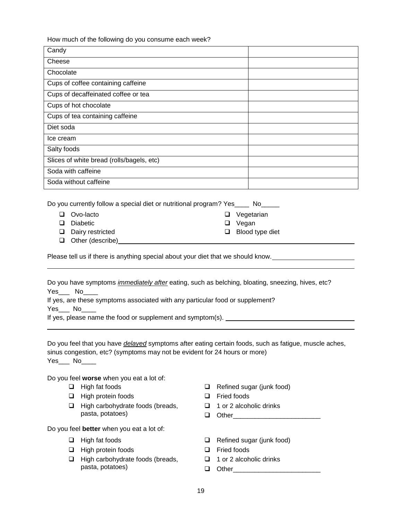How much of the following do you consume each week?

| Candy                                     |  |
|-------------------------------------------|--|
| Cheese                                    |  |
| Chocolate                                 |  |
| Cups of coffee containing caffeine        |  |
| Cups of decaffeinated coffee or tea       |  |
| Cups of hot chocolate                     |  |
| Cups of tea containing caffeine           |  |
| Diet soda                                 |  |
| Ice cream                                 |  |
| Salty foods                               |  |
| Slices of white bread (rolls/bagels, etc) |  |
| Soda with caffeine                        |  |
| Soda without caffeine                     |  |

| Do you currently follow a special diet or nutritional program? Yes_ |                          |
|---------------------------------------------------------------------|--------------------------|
| $\Box$ Overloote                                                    | $\Box$ <i>Vogotorion</i> |

- Ovo-lacto Diabetic Dairy restricted **Q** Vegetarian □ Vegan **Blood type diet**
- $\Box$  Other (describe)

Please tell us if there is anything special about your diet that we should know.

Do you have symptoms *immediately after* eating, such as belching, bloating, sneezing, hives, etc? Yes No

and the control of the control of the control of the control of the control of the control of the control of the

If yes, are these symptoms associated with any particular food or supplement?

Yes\_\_\_ No\_\_\_\_

If yes, please name the food or supplement and symptom(s).

Do you feel that you have *delayed* symptoms after eating certain foods, such as fatigue, muscle aches, sinus congestion, etc? (symptoms may not be evident for 24 hours or more) Yes\_\_\_ No\_\_\_\_

Do you feel **worse** when you eat a lot of:

- $\Box$  High fat foods
- $\Box$  High protein foods
- $\Box$  High carbohydrate foods (breads, pasta, potatoes)

Do you feel **better** when you eat a lot of:

- $\Box$  High fat foods
- $\Box$  High protein foods
- $\Box$  High carbohydrate foods (breads, pasta, potatoes)
- $\Box$  Refined sugar (junk food)
- □ Fried foods
- $\Box$  1 or 2 alcoholic drinks
- $\Box$  Other
- Refined sugar (junk food)
- □ Fried foods
- $\Box$  1 or 2 alcoholic drinks
- $\Box$  Other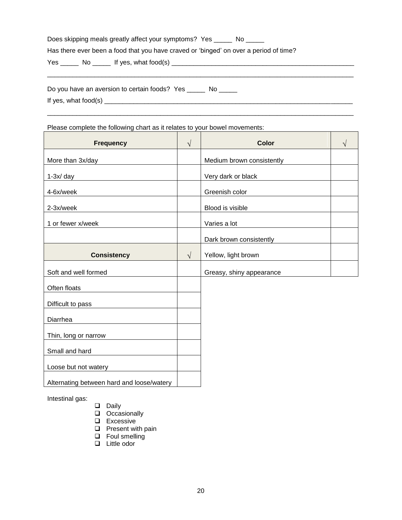| Does skipping meals greatly affect your symptoms? Yes ______ No ______                |  |
|---------------------------------------------------------------------------------------|--|
| Has there ever been a food that you have craved or 'binged' on over a period of time? |  |
|                                                                                       |  |
|                                                                                       |  |

| Do you have an aversion to certain foods? Yes |  |
|-----------------------------------------------|--|
| If yes, what food(s)                          |  |

\_\_\_\_\_\_\_\_\_\_\_\_\_\_\_\_\_\_\_\_\_\_\_\_\_\_\_\_\_\_\_\_\_\_\_\_\_\_\_\_\_\_\_\_\_\_\_\_\_\_\_\_\_\_\_\_\_\_\_\_\_\_\_\_\_\_\_\_\_\_\_\_\_\_\_\_\_\_\_\_\_\_\_\_

# Please complete the following chart as it relates to your bowel movements:

| <b>Frequency</b>                          | $\sqrt{}$  | <b>Color</b>              |  |
|-------------------------------------------|------------|---------------------------|--|
| More than 3x/day                          |            | Medium brown consistently |  |
| $1-3x/day$                                |            | Very dark or black        |  |
| 4-6x/week                                 |            | Greenish color            |  |
| 2-3x/week                                 |            | Blood is visible          |  |
| 1 or fewer x/week                         |            | Varies a lot              |  |
|                                           |            | Dark brown consistently   |  |
| <b>Consistency</b>                        | $\sqrt{ }$ | Yellow, light brown       |  |
| Soft and well formed                      |            | Greasy, shiny appearance  |  |
| Often floats                              |            |                           |  |
| Difficult to pass                         |            |                           |  |
| Diarrhea                                  |            |                           |  |
| Thin, long or narrow                      |            |                           |  |
| Small and hard                            |            |                           |  |
| Loose but not watery                      |            |                           |  |
| Alternating between hard and loose/watery |            |                           |  |

Intestinal gas:

- Daily
- **Q** Occasionally
- **Q** Excessive
- $\Box$  Present with pain
- **Q** Foul smelling
- Little odor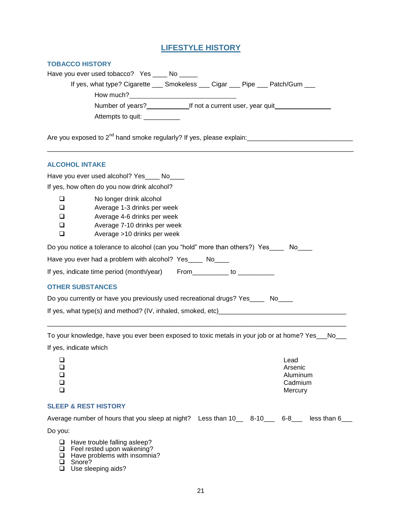# **LIFESTYLE HISTORY**

| Have you ever used tobacco? Yes _____ No ______                                     |  |
|-------------------------------------------------------------------------------------|--|
| If yes, what type? Cigarette ____ Smokeless ____ Cigar ____ Pipe ____ Patch/Gum ___ |  |
| How much?                                                                           |  |
| Number of years?<br><u>If not a current user</u> , year quit                        |  |
| Attempts to quit: _________                                                         |  |
| Are you exposed to $2^{nd}$ hand smoke regularly? If yes, please explain:           |  |

| <b>ALCOHOL INTAKE</b>                                                                                                                                                                        |  |  |  |  |
|----------------------------------------------------------------------------------------------------------------------------------------------------------------------------------------------|--|--|--|--|
| Have you ever used alcohol? Yes _____ No_____                                                                                                                                                |  |  |  |  |
| If yes, how often do you now drink alcohol?                                                                                                                                                  |  |  |  |  |
| No longer drink alcohol<br>⊔<br>Average 1-3 drinks per week<br>□<br>$\Box$<br>Average 4-6 drinks per week<br>$\Box$<br>Average 7-10 drinks per week<br>$\Box$<br>Average >10 drinks per week |  |  |  |  |
| Do you notice a tolerance to alcohol (can you "hold" more than others?) Yes No                                                                                                               |  |  |  |  |
| Have you ever had a problem with alcohol? Yes____ No____<br>If yes, indicate time period (month/year) From_________ to _____________                                                         |  |  |  |  |
| <b>OTHER SUBSTANCES</b>                                                                                                                                                                      |  |  |  |  |
| Do you currently or have you previously used recreational drugs? Yes____ No____                                                                                                              |  |  |  |  |
| If yes, what type(s) and method? (IV, inhaled, smoked, etc) ____________________                                                                                                             |  |  |  |  |

To your knowledge, have you ever been exposed to toxic metals in your job or at home? Yes\_\_\_No\_\_\_ If yes, indicate which

\_\_\_\_\_\_\_\_\_\_\_\_\_\_\_\_\_\_\_\_\_\_\_\_\_\_\_\_\_\_\_\_\_\_\_\_\_\_\_\_\_\_\_\_\_\_\_\_\_\_\_\_\_\_\_\_\_\_\_\_\_\_\_\_\_\_\_\_\_\_\_\_\_\_\_\_\_\_\_\_\_\_

| □<br>$\mathbb{R}^n$ | Lead<br>Arsenic     |
|---------------------|---------------------|
| $\Box$              | Aluminum<br>Cadmium |
|                     | Mercury             |

#### **SLEEP & REST HISTORY**

| Average number of hours that you sleep at night? Less than 10 __ 8-10 __ 6-8 __ |  | less than 6 |
|---------------------------------------------------------------------------------|--|-------------|
| Do vou:                                                                         |  |             |
| $\Box$ Have trouble falling asleep?                                             |  |             |

 $\Box$  Have trouble falling asleep?

- **E** Feel rested upon wakening?  $\Box$  Have problems with insomnia?
- □ Snore?

□ Use sleeping aids?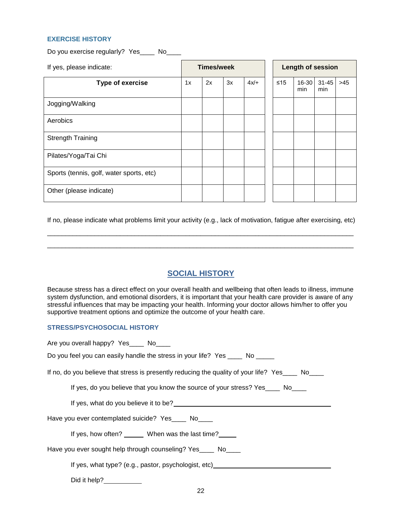#### **EXERCISE HISTORY**

Do you exercise regularly? Yes\_\_\_\_ No\_\_\_\_

| If yes, please indicate:                 | <b>Times/week</b> |    |    |        | <b>Length of session</b> |              |                  |       |
|------------------------------------------|-------------------|----|----|--------|--------------------------|--------------|------------------|-------|
| Type of exercise                         | 1x                | 2x | 3x | $4x/+$ | $\leq 15$                | 16-30<br>min | $31 - 45$<br>min | $>45$ |
| Jogging/Walking                          |                   |    |    |        |                          |              |                  |       |
| Aerobics                                 |                   |    |    |        |                          |              |                  |       |
| <b>Strength Training</b>                 |                   |    |    |        |                          |              |                  |       |
| Pilates/Yoga/Tai Chi                     |                   |    |    |        |                          |              |                  |       |
| Sports (tennis, golf, water sports, etc) |                   |    |    |        |                          |              |                  |       |
| Other (please indicate)                  |                   |    |    |        |                          |              |                  |       |

If no, please indicate what problems limit your activity (e.g., lack of motivation, fatigue after exercising, etc) \_\_\_\_\_\_\_\_\_\_\_\_\_\_\_\_\_\_\_\_\_\_\_\_\_\_\_\_\_\_\_\_\_\_\_\_\_\_\_\_\_\_\_\_\_\_\_\_\_\_\_\_\_\_\_\_\_\_\_\_\_\_\_\_\_\_\_\_\_\_\_\_\_\_\_\_\_\_\_\_\_\_\_\_

\_\_\_\_\_\_\_\_\_\_\_\_\_\_\_\_\_\_\_\_\_\_\_\_\_\_\_\_\_\_\_\_\_\_\_\_\_\_\_\_\_\_\_\_\_\_\_\_\_\_\_\_\_\_\_\_\_\_\_\_\_\_\_\_\_\_\_\_\_\_\_\_\_\_\_\_\_\_\_\_\_\_\_\_

### **SOCIAL HISTORY**

Because stress has a direct effect on your overall health and wellbeing that often leads to illness, immune system dysfunction, and emotional disorders, it is important that your health care provider is aware of any stressful influences that may be impacting your health. Informing your doctor allows him/her to offer you supportive treatment options and optimize the outcome of your health care.

#### **STRESS/PSYCHOSOCIAL HISTORY**

| Are you overall happy? Yes____ No____                                                            |
|--------------------------------------------------------------------------------------------------|
| Do you feel you can easily handle the stress in your life? Yes _____ No ______                   |
| If no, do you believe that stress is presently reducing the quality of your life? Yes____ No____ |
| If yes, do you believe that you know the source of your stress? Yes _____ No____                 |
|                                                                                                  |
| Have you ever contemplated suicide? Yes ____ No____                                              |
| If yes, how often? _______ When was the last time?                                               |
| Have you ever sought help through counseling? Yes____ No____                                     |
| If yes, what type? (e.g., pastor, psychologist, etc)____________________________                 |
| Did it help?___________                                                                          |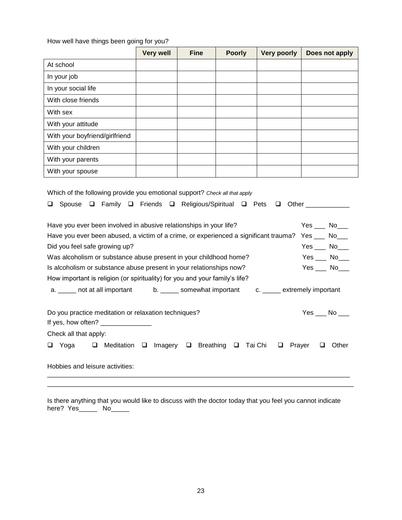How well have things been going for you?

|                                                                                                                                                                                                                                                                                                                                                                                                                                                                                                                                                                                                                                                                                                 | <b>Very well</b> | <b>Fine</b>           | <b>Poorly</b> | <b>Very poorly</b>     | Does not apply |  |  |
|-------------------------------------------------------------------------------------------------------------------------------------------------------------------------------------------------------------------------------------------------------------------------------------------------------------------------------------------------------------------------------------------------------------------------------------------------------------------------------------------------------------------------------------------------------------------------------------------------------------------------------------------------------------------------------------------------|------------------|-----------------------|---------------|------------------------|----------------|--|--|
| At school                                                                                                                                                                                                                                                                                                                                                                                                                                                                                                                                                                                                                                                                                       |                  |                       |               |                        |                |  |  |
| In your job                                                                                                                                                                                                                                                                                                                                                                                                                                                                                                                                                                                                                                                                                     |                  |                       |               |                        |                |  |  |
| In your social life                                                                                                                                                                                                                                                                                                                                                                                                                                                                                                                                                                                                                                                                             |                  |                       |               |                        |                |  |  |
| With close friends                                                                                                                                                                                                                                                                                                                                                                                                                                                                                                                                                                                                                                                                              |                  |                       |               |                        |                |  |  |
| With sex                                                                                                                                                                                                                                                                                                                                                                                                                                                                                                                                                                                                                                                                                        |                  |                       |               |                        |                |  |  |
| With your attitude                                                                                                                                                                                                                                                                                                                                                                                                                                                                                                                                                                                                                                                                              |                  |                       |               |                        |                |  |  |
| With your boyfriend/girlfriend                                                                                                                                                                                                                                                                                                                                                                                                                                                                                                                                                                                                                                                                  |                  |                       |               |                        |                |  |  |
| With your children                                                                                                                                                                                                                                                                                                                                                                                                                                                                                                                                                                                                                                                                              |                  |                       |               |                        |                |  |  |
| With your parents                                                                                                                                                                                                                                                                                                                                                                                                                                                                                                                                                                                                                                                                               |                  |                       |               |                        |                |  |  |
| With your spouse                                                                                                                                                                                                                                                                                                                                                                                                                                                                                                                                                                                                                                                                                |                  |                       |               |                        |                |  |  |
| Spouse Q Family Q Friends Q Religious/Spiritual Q Pets Q Other ___________<br>❏<br>$Yes$ No $\Box$<br>Have you ever been involved in abusive relationships in your life?<br>Have you ever been abused, a victim of a crime, or experienced a significant trauma? Yes ___ No___<br>Did you feel safe growing up?<br>$Yes$ No____<br>$Yes$ $No$<br>Was alcoholism or substance abuse present in your childhood home?<br>Is alcoholism or substance abuse present in your relationships now?<br>$Yes$ $No$ $No$<br>How important is religion (or spirituality) for you and your family's life?<br>a. ______ not at all important<br>b. _______ somewhat important<br>c. ______ extremely important |                  |                       |               |                        |                |  |  |
| Do you practice meditation or relaxation techniques?<br>Check all that apply:                                                                                                                                                                                                                                                                                                                                                                                                                                                                                                                                                                                                                   |                  |                       |               |                        | $Yes$ No ___   |  |  |
| Yoga<br>$\Box$<br>Meditation<br>Q                                                                                                                                                                                                                                                                                                                                                                                                                                                                                                                                                                                                                                                               | Imagery<br>□     | <b>Breathing</b><br>❏ | ❏             | Tai Chi<br>❏<br>Prayer | Other<br>❏     |  |  |
| Hobbies and leisure activities:                                                                                                                                                                                                                                                                                                                                                                                                                                                                                                                                                                                                                                                                 |                  |                       |               |                        |                |  |  |

Is there anything that you would like to discuss with the doctor today that you feel you cannot indicate here? Yes\_\_\_\_\_ No\_\_\_\_\_

\_\_\_\_\_\_\_\_\_\_\_\_\_\_\_\_\_\_\_\_\_\_\_\_\_\_\_\_\_\_\_\_\_\_\_\_\_\_\_\_\_\_\_\_\_\_\_\_\_\_\_\_\_\_\_\_\_\_\_\_\_\_\_\_\_\_\_\_\_\_\_\_\_\_\_\_\_\_\_\_\_\_\_\_